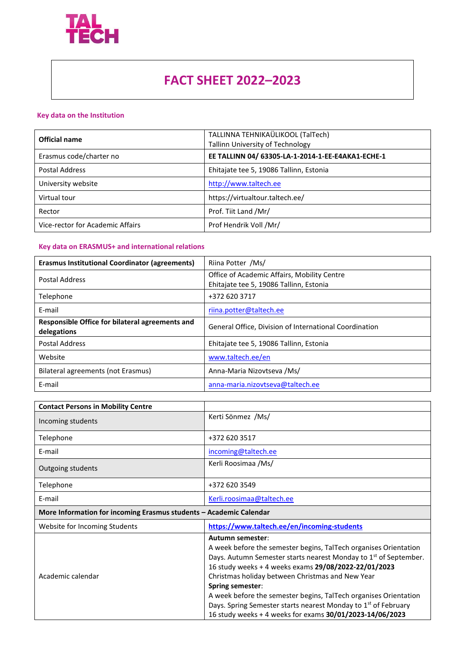

## **FACT SHEET 2022–2023**

## **Key data on the Institution**

| Official name                    | TALLINNA TEHNIKAÜLIKOOL (TalTech)<br><b>Tallinn University of Technology</b> |
|----------------------------------|------------------------------------------------------------------------------|
| Erasmus code/charter no          | EE TALLINN 04/ 63305-LA-1-2014-1-EE-E4AKA1-ECHE-1                            |
| Postal Address                   | Ehitajate tee 5, 19086 Tallinn, Estonia                                      |
| University website               | http://www.taltech.ee                                                        |
| Virtual tour                     | https://virtualtour.taltech.ee/                                              |
| Rector                           | Prof. Tiit Land /Mr/                                                         |
| Vice-rector for Academic Affairs | Prof Hendrik Voll /Mr/                                                       |

## **Key data on ERASMUS+ and international relations**

| <b>Erasmus Institutional Coordinator (agreements)</b>          | Riina Potter /Ms/                                                                      |
|----------------------------------------------------------------|----------------------------------------------------------------------------------------|
| <b>Postal Address</b>                                          | Office of Academic Affairs, Mobility Centre<br>Ehitajate tee 5, 19086 Tallinn, Estonia |
| Telephone                                                      | +372 620 3717                                                                          |
| E-mail                                                         | riina.potter@taltech.ee                                                                |
| Responsible Office for bilateral agreements and<br>delegations | General Office, Division of International Coordination                                 |
| <b>Postal Address</b>                                          | Ehitajate tee 5, 19086 Tallinn, Estonia                                                |
| Website                                                        | www.taltech.ee/en                                                                      |
| Bilateral agreements (not Erasmus)                             | Anna-Maria Nizovtseva /Ms/                                                             |
| E-mail                                                         | anna-maria.nizovtseva@taltech.ee                                                       |

| <b>Contact Persons in Mobility Centre</b>                          |                                                                                                                                                                                                                                                                                                                                                                                                                                                                                                                           |
|--------------------------------------------------------------------|---------------------------------------------------------------------------------------------------------------------------------------------------------------------------------------------------------------------------------------------------------------------------------------------------------------------------------------------------------------------------------------------------------------------------------------------------------------------------------------------------------------------------|
| Incoming students                                                  | Kerti Sönmez /Ms/                                                                                                                                                                                                                                                                                                                                                                                                                                                                                                         |
| Telephone                                                          | +372 620 3517                                                                                                                                                                                                                                                                                                                                                                                                                                                                                                             |
| E-mail                                                             | incoming@taltech.ee                                                                                                                                                                                                                                                                                                                                                                                                                                                                                                       |
| Outgoing students                                                  | Kerli Roosimaa /Ms/                                                                                                                                                                                                                                                                                                                                                                                                                                                                                                       |
| Telephone                                                          | +372 620 3549                                                                                                                                                                                                                                                                                                                                                                                                                                                                                                             |
| E-mail                                                             | Kerli.roosimaa@taltech.ee                                                                                                                                                                                                                                                                                                                                                                                                                                                                                                 |
| More Information for incoming Erasmus students - Academic Calendar |                                                                                                                                                                                                                                                                                                                                                                                                                                                                                                                           |
| Website for Incoming Students                                      | https://www.taltech.ee/en/incoming-students                                                                                                                                                                                                                                                                                                                                                                                                                                                                               |
| Academic calendar                                                  | Autumn semester:<br>A week before the semester begins, TalTech organises Orientation<br>Days. Autumn Semester starts nearest Monday to 1 <sup>st</sup> of September.<br>16 study weeks + 4 weeks exams 29/08/2022-22/01/2023<br>Christmas holiday between Christmas and New Year<br><b>Spring semester:</b><br>A week before the semester begins, TalTech organises Orientation<br>Days. Spring Semester starts nearest Monday to 1 <sup>st</sup> of February<br>16 study weeks + 4 weeks for exams 30/01/2023-14/06/2023 |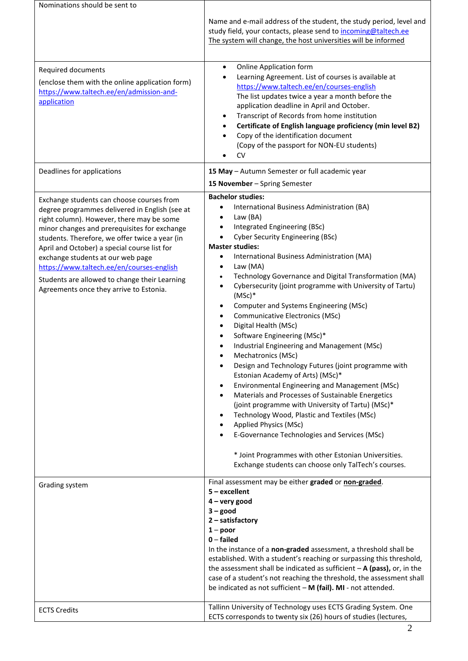| Nominations should be sent to                                                                                                                                                                                                                                                                                                                                                                                                                                            |                                                                                                                                                                                                                                                                                                                                                                                                                                                                                                                                                                                                                                                                                                                                                                                                                                                                                                                                                                                                                                                                                                                                                                                                                        |
|--------------------------------------------------------------------------------------------------------------------------------------------------------------------------------------------------------------------------------------------------------------------------------------------------------------------------------------------------------------------------------------------------------------------------------------------------------------------------|------------------------------------------------------------------------------------------------------------------------------------------------------------------------------------------------------------------------------------------------------------------------------------------------------------------------------------------------------------------------------------------------------------------------------------------------------------------------------------------------------------------------------------------------------------------------------------------------------------------------------------------------------------------------------------------------------------------------------------------------------------------------------------------------------------------------------------------------------------------------------------------------------------------------------------------------------------------------------------------------------------------------------------------------------------------------------------------------------------------------------------------------------------------------------------------------------------------------|
|                                                                                                                                                                                                                                                                                                                                                                                                                                                                          | Name and e-mail address of the student, the study period, level and<br>study field, your contacts, please send to incoming@taltech.ee<br>The system will change, the host universities will be informed                                                                                                                                                                                                                                                                                                                                                                                                                                                                                                                                                                                                                                                                                                                                                                                                                                                                                                                                                                                                                |
| Required documents<br>(enclose them with the online application form)<br>https://www.taltech.ee/en/admission-and-<br>application                                                                                                                                                                                                                                                                                                                                         | <b>Online Application form</b><br>٠<br>Learning Agreement. List of courses is available at<br>https://www.taltech.ee/en/courses-english<br>The list updates twice a year a month before the<br>application deadline in April and October.<br>Transcript of Records from home institution<br>Certificate of English language proficiency (min level B2)<br>Copy of the identification document<br>(Copy of the passport for NON-EU students)<br><b>CV</b>                                                                                                                                                                                                                                                                                                                                                                                                                                                                                                                                                                                                                                                                                                                                                               |
| Deadlines for applications                                                                                                                                                                                                                                                                                                                                                                                                                                               | 15 May - Autumn Semester or full academic year<br>15 November - Spring Semester                                                                                                                                                                                                                                                                                                                                                                                                                                                                                                                                                                                                                                                                                                                                                                                                                                                                                                                                                                                                                                                                                                                                        |
| Exchange students can choose courses from<br>degree programmes delivered in English (see at<br>right column). However, there may be some<br>minor changes and prerequisites for exchange<br>students. Therefore, we offer twice a year (in<br>April and October) a special course list for<br>exchange students at our web page<br>https://www.taltech.ee/en/courses-english<br>Students are allowed to change their Learning<br>Agreements once they arrive to Estonia. | <b>Bachelor studies:</b><br>International Business Administration (BA)<br>Law (BA)<br>٠<br>Integrated Engineering (BSc)<br>$\bullet$<br><b>Cyber Security Engineering (BSc)</b><br>$\bullet$<br><b>Master studies:</b><br>International Business Administration (MA)<br>$\bullet$<br>Law (MA)<br>$\bullet$<br>Technology Governance and Digital Transformation (MA)<br>$\bullet$<br>Cybersecurity (joint programme with University of Tartu)<br>$\bullet$<br>$(MSc)*$<br>Computer and Systems Engineering (MSc)<br>٠<br>Communicative Electronics (MSc)<br>$\bullet$<br>Digital Health (MSc)<br>Software Engineering (MSc)*<br>Industrial Engineering and Management (MSc)<br>Mechatronics (MSc)<br>٠<br>Design and Technology Futures (joint programme with<br>Estonian Academy of Arts) (MSc)*<br>Environmental Engineering and Management (MSc)<br>٠<br>Materials and Processes of Sustainable Energetics<br>$\bullet$<br>(joint programme with University of Tartu) (MSc)*<br>Technology Wood, Plastic and Textiles (MSc)<br>Applied Physics (MSc)<br>E-Governance Technologies and Services (MSc)<br>* Joint Programmes with other Estonian Universities.<br>Exchange students can choose only TalTech's courses. |
| Grading system                                                                                                                                                                                                                                                                                                                                                                                                                                                           | Final assessment may be either graded or non-graded.<br>$5 -$ excellent<br>$4 - very good$<br>$3 - good$<br>2 - satisfactory<br>$1 - poor$<br>$0$ – failed<br>In the instance of a non-graded assessment, a threshold shall be<br>established. With a student's reaching or surpassing this threshold,<br>the assessment shall be indicated as sufficient $-A$ (pass), or, in the<br>case of a student's not reaching the threshold, the assessment shall<br>be indicated as not sufficient $- M$ (fail). MI - not attended.                                                                                                                                                                                                                                                                                                                                                                                                                                                                                                                                                                                                                                                                                           |
| <b>ECTS Credits</b>                                                                                                                                                                                                                                                                                                                                                                                                                                                      | Tallinn University of Technology uses ECTS Grading System. One<br>ECTS corresponds to twenty six (26) hours of studies (lectures,                                                                                                                                                                                                                                                                                                                                                                                                                                                                                                                                                                                                                                                                                                                                                                                                                                                                                                                                                                                                                                                                                      |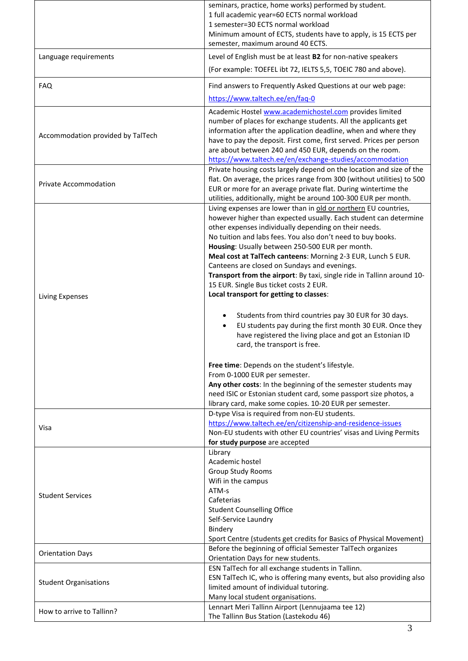|                                   | seminars, practice, home works) performed by student.                                                                |
|-----------------------------------|----------------------------------------------------------------------------------------------------------------------|
|                                   | 1 full academic year=60 ECTS normal workload                                                                         |
|                                   | 1 semester=30 ECTS normal workload                                                                                   |
|                                   | Minimum amount of ECTS, students have to apply, is 15 ECTS per<br>semester, maximum around 40 ECTS.                  |
| Language requirements             | Level of English must be at least B2 for non-native speakers                                                         |
|                                   | (For example: TOEFEL ibt 72, IELTS 5,5, TOEIC 780 and above).                                                        |
| <b>FAQ</b>                        | Find answers to Frequently Asked Questions at our web page:                                                          |
|                                   | https://www.taltech.ee/en/faq-0                                                                                      |
|                                   | Academic Hostel www.academichostel.com provides limited                                                              |
|                                   | number of places for exchange students. All the applicants get                                                       |
| Accommodation provided by TalTech | information after the application deadline, when and where they                                                      |
|                                   | have to pay the deposit. First come, first served. Prices per person                                                 |
|                                   | are about between 240 and 450 EUR, depends on the room.<br>https://www.taltech.ee/en/exchange-studies/accommodation  |
|                                   | Private housing costs largely depend on the location and size of the                                                 |
|                                   | flat. On average, the prices range from 300 (without utilities) to 500                                               |
| <b>Private Accommodation</b>      | EUR or more for an average private flat. During wintertime the                                                       |
|                                   | utilities, additionally, might be around 100-300 EUR per month.                                                      |
|                                   | Living expenses are lower than in old or northern EU countries,                                                      |
|                                   | however higher than expected usually. Each student can determine                                                     |
|                                   | other expenses individually depending on their needs.<br>No tuition and labs fees. You also don't need to buy books. |
|                                   | Housing: Usually between 250-500 EUR per month.                                                                      |
|                                   | Meal cost at TalTech canteens: Morning 2-3 EUR, Lunch 5 EUR.                                                         |
|                                   | Canteens are closed on Sundays and evenings.                                                                         |
|                                   | Transport from the airport: By taxi, single ride in Tallinn around 10-                                               |
|                                   | 15 EUR. Single Bus ticket costs 2 EUR.                                                                               |
| Living Expenses                   | Local transport for getting to classes:                                                                              |
|                                   |                                                                                                                      |
|                                   | Students from third countries pay 30 EUR for 30 days.                                                                |
|                                   | EU students pay during the first month 30 EUR. Once they<br>have registered the living place and got an Estonian ID  |
|                                   | card, the transport is free.                                                                                         |
|                                   |                                                                                                                      |
|                                   | Free time: Depends on the student's lifestyle.                                                                       |
|                                   | From 0-1000 EUR per semester.                                                                                        |
|                                   | Any other costs: In the beginning of the semester students may                                                       |
|                                   | need ISIC or Estonian student card, some passport size photos, a                                                     |
|                                   | library card, make some copies. 10-20 EUR per semester.<br>D-type Visa is required from non-EU students.             |
|                                   | https://www.taltech.ee/en/citizenship-and-residence-issues                                                           |
| Visa                              | Non-EU students with other EU countries' visas and Living Permits                                                    |
|                                   | for study purpose are accepted                                                                                       |
|                                   | Library                                                                                                              |
|                                   | Academic hostel                                                                                                      |
|                                   | <b>Group Study Rooms</b><br>Wifi in the campus                                                                       |
|                                   | ATM-s                                                                                                                |
| <b>Student Services</b>           | Cafeterias                                                                                                           |
|                                   | <b>Student Counselling Office</b>                                                                                    |
|                                   | Self-Service Laundry                                                                                                 |
|                                   | Bindery                                                                                                              |
|                                   | Sport Centre (students get credits for Basics of Physical Movement)                                                  |
| <b>Orientation Days</b>           | Before the beginning of official Semester TalTech organizes<br>Orientation Days for new students.                    |
|                                   | ESN TalTech for all exchange students in Tallinn.                                                                    |
| <b>Student Organisations</b>      | ESN TalTech IC, who is offering many events, but also providing also                                                 |
|                                   | limited amount of individual tutoring.                                                                               |
|                                   | Many local student organisations.                                                                                    |
| How to arrive to Tallinn?         | Lennart Meri Tallinn Airport (Lennujaama tee 12)                                                                     |
|                                   | The Tallinn Bus Station (Lastekodu 46)                                                                               |